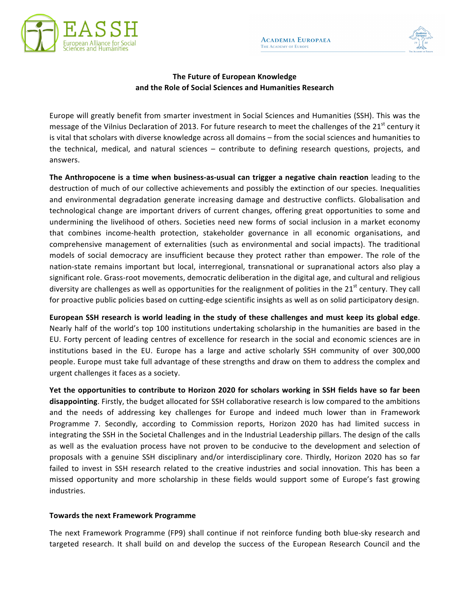





## **The Future of European Knowledge and the Role of Social Sciences and Humanities Research**

Europe will greatly benefit from smarter investment in Social Sciences and Humanities (SSH). This was the message of the Vilnius Declaration of 2013. For future research to meet the challenges of the  $21^{st}$  century it is vital that scholars with diverse knowledge across all domains – from the social sciences and humanities to the technical, medical, and natural sciences  $-$  contribute to defining research questions, projects, and answers.

The Anthropocene is a time when business-as-usual can trigger a negative chain reaction leading to the destruction of much of our collective achievements and possibly the extinction of our species. Inequalities and environmental degradation generate increasing damage and destructive conflicts. Globalisation and technological change are important drivers of current changes, offering great opportunities to some and undermining the livelihood of others. Societies need new forms of social inclusion in a market economy that combines income-health protection, stakeholder governance in all economic organisations, and comprehensive management of externalities (such as environmental and social impacts). The traditional models of social democracy are insufficient because they protect rather than empower. The role of the nation-state remains important but local, interregional, transnational or supranational actors also play a significant role. Grass-root movements, democratic deliberation in the digital age, and cultural and religious diversity are challenges as well as opportunities for the realignment of polities in the  $21<sup>st</sup>$  century. They call for proactive public policies based on cutting-edge scientific insights as well as on solid participatory design.

European SSH research is world leading in the study of these challenges and must keep its global edge. Nearly half of the world's top 100 institutions undertaking scholarship in the humanities are based in the EU. Forty percent of leading centres of excellence for research in the social and economic sciences are in institutions based in the EU. Europe has a large and active scholarly SSH community of over 300,000 people. Europe must take full advantage of these strengths and draw on them to address the complex and urgent challenges it faces as a society.

Yet the opportunities to contribute to Horizon 2020 for scholars working in SSH fields have so far been disappointing. Firstly, the budget allocated for SSH collaborative research is low compared to the ambitions and the needs of addressing key challenges for Europe and indeed much lower than in Framework Programme 7. Secondly, according to Commission reports, Horizon 2020 has had limited success in integrating the SSH in the Societal Challenges and in the Industrial Leadership pillars. The design of the calls as well as the evaluation process have not proven to be conducive to the development and selection of proposals with a genuine SSH disciplinary and/or interdisciplinary core. Thirdly, Horizon 2020 has so far failed to invest in SSH research related to the creative industries and social innovation. This has been a missed opportunity and more scholarship in these fields would support some of Europe's fast growing industries.

## **Towards the next Framework Programme**

The next Framework Programme (FP9) shall continue if not reinforce funding both blue-sky research and targeted research. It shall build on and develop the success of the European Research Council and the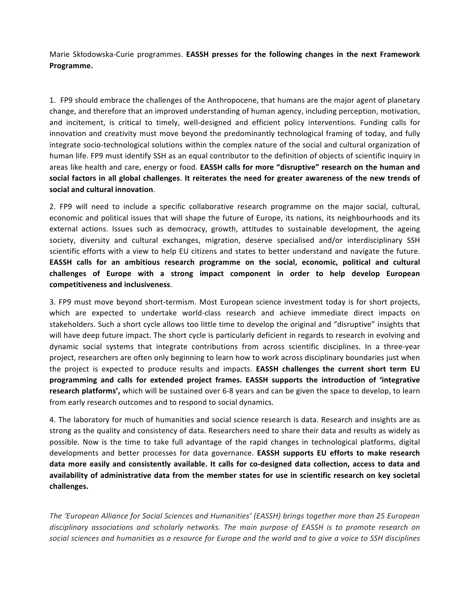Marie Skłodowska-Curie programmes. **EASSH presses for the following changes in the next Framework Programme.**

1. FP9 should embrace the challenges of the Anthropocene, that humans are the major agent of planetary change, and therefore that an improved understanding of human agency, including perception, motivation, and incitement, is critical to timely, well-designed and efficient policy interventions. Funding calls for innovation and creativity must move beyond the predominantly technological framing of today, and fully integrate socio-technological solutions within the complex nature of the social and cultural organization of human life. FP9 must identify SSH as an equal contributor to the definition of objects of scientific inquiry in areas like health and care, energy or food. **EASSH calls for more "disruptive" research on the human and** social factors in all global challenges. It reiterates the need for greater awareness of the new trends of **social and cultural innovation**. 

2. FP9 will need to include a specific collaborative research programme on the major social, cultural, economic and political issues that will shape the future of Europe, its nations, its neighbourhoods and its external actions. Issues such as democracy, growth, attitudes to sustainable development, the ageing society, diversity and cultural exchanges, migration, deserve specialised and/or interdisciplinary SSH scientific efforts with a view to help EU citizens and states to better understand and navigate the future. EASSH calls for an ambitious research programme on the social, economic, political and cultural challenges of Europe with a strong impact component in order to help develop European **competitiveness and inclusiveness**.

3. FP9 must move beyond short-termism. Most European science investment today is for short projects, which are expected to undertake world-class research and achieve immediate direct impacts on stakeholders. Such a short cycle allows too little time to develop the original and "disruptive" insights that will have deep future impact. The short cycle is particularly deficient in regards to research in evolving and dynamic social systems that integrate contributions from across scientific disciplines. In a three-year project, researchers are often only beginning to learn how to work across disciplinary boundaries just when the project is expected to produce results and impacts. **EASSH challenges the current short term EU** programming and calls for extended project frames. EASSH supports the introduction of 'integrative **research platforms',** which will be sustained over 6-8 years and can be given the space to develop, to learn from early research outcomes and to respond to social dynamics.

4. The laboratory for much of humanities and social science research is data. Research and insights are as strong as the quality and consistency of data. Researchers need to share their data and results as widely as possible. Now is the time to take full advantage of the rapid changes in technological platforms, digital developments and better processes for data governance. **EASSH supports EU efforts to make research** data more easily and consistently available. It calls for co-designed data collection, access to data and availability of administrative data from the member states for use in scientific research on key societal **challenges.**

The 'European Alliance for Social Sciences and Humanities' (EASSH) brings together more than 25 European disciplinary associations and scholarly networks. The main purpose of EASSH is to promote research on social sciences and humanities as a resource for Europe and the world and to give a voice to SSH disciplines